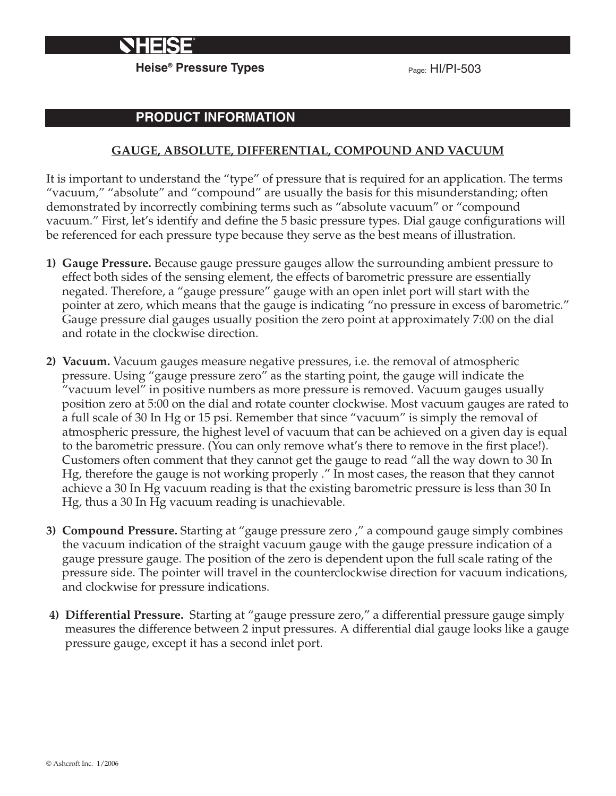

**Heise<sup>®</sup> Pressure Types Pressure Types** Page: HI/PI-503

# **PRODUCT INFORMATION**

#### **GAUGE, ABSOLUTE, DIFFERENTIAL, COMPOUND AND VACUUM**

It is important to understand the "type" of pressure that is required for an application. The terms "vacuum," "absolute" and "compound" are usually the basis for this misunderstanding; often demonstrated by incorrectly combining terms such as "absolute vacuum" or "compound vacuum." First, let's identify and define the 5 basic pressure types. Dial gauge configurations will be referenced for each pressure type because they serve as the best means of illustration.

- **1) Gauge Pressure.** Because gauge pressure gauges allow the surrounding ambient pressure to effect both sides of the sensing element, the effects of barometric pressure are essentially negated. Therefore, a "gauge pressure" gauge with an open inlet port will start with the pointer at zero, which means that the gauge is indicating "no pressure in excess of barometric." Gauge pressure dial gauges usually position the zero point at approximately 7:00 on the dial and rotate in the clockwise direction.
- **2) Vacuum.** Vacuum gauges measure negative pressures, i.e. the removal of atmospheric pressure. Using "gauge pressure zero" as the starting point, the gauge will indicate the "vacuum level" in positive numbers as more pressure is removed. Vacuum gauges usually position zero at 5:00 on the dial and rotate counter clockwise. Most vacuum gauges are rated to a full scale of 30 In Hg or 15 psi. Remember that since "vacuum" is simply the removal of atmospheric pressure, the highest level of vacuum that can be achieved on a given day is equal to the barometric pressure. (You can only remove what's there to remove in the first place!). Customers often comment that they cannot get the gauge to read "all the way down to 30 In Hg, therefore the gauge is not working properly ." In most cases, the reason that they cannot achieve a 30 In Hg vacuum reading is that the existing barometric pressure is less than 30 In Hg, thus a 30 In Hg vacuum reading is unachievable.
- **3) Compound Pressure.** Starting at "gauge pressure zero ," a compound gauge simply combines the vacuum indication of the straight vacuum gauge with the gauge pressure indication of a gauge pressure gauge. The position of the zero is dependent upon the full scale rating of the pressure side. The pointer will travel in the counterclockwise direction for vacuum indications, and clockwise for pressure indications.
- **4) Differential Pressure.** Starting at "gauge pressure zero," a differential pressure gauge simply measures the difference between 2 input pressures. A differential dial gauge looks like a gauge pressure gauge, except it has a second inlet port.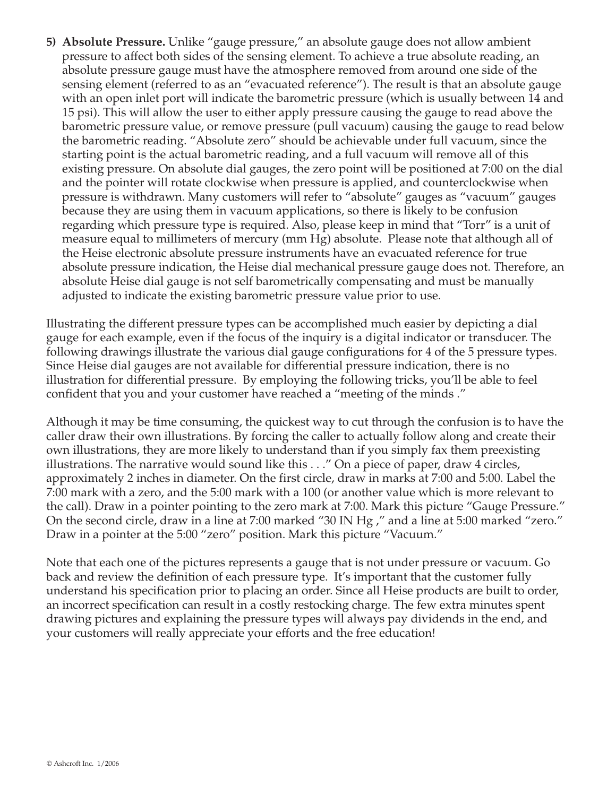**5) Absolute Pressure.** Unlike "gauge pressure," an absolute gauge does not allow ambient pressure to affect both sides of the sensing element. To achieve a true absolute reading, an absolute pressure gauge must have the atmosphere removed from around one side of the sensing element (referred to as an "evacuated reference"). The result is that an absolute gauge with an open inlet port will indicate the barometric pressure (which is usually between 14 and 15 psi). This will allow the user to either apply pressure causing the gauge to read above the barometric pressure value, or remove pressure (pull vacuum) causing the gauge to read below the barometric reading. "Absolute zero" should be achievable under full vacuum, since the starting point is the actual barometric reading, and a full vacuum will remove all of this existing pressure. On absolute dial gauges, the zero point will be positioned at 7:00 on the dial and the pointer will rotate clockwise when pressure is applied, and counterclockwise when pressure is withdrawn. Many customers will refer to "absolute" gauges as "vacuum" gauges because they are using them in vacuum applications, so there is likely to be confusion regarding which pressure type is required. Also, please keep in mind that "Torr" is a unit of measure equal to millimeters of mercury (mm Hg) absolute. Please note that although all of the Heise electronic absolute pressure instruments have an evacuated reference for true absolute pressure indication, the Heise dial mechanical pressure gauge does not. Therefore, an absolute Heise dial gauge is not self barometrically compensating and must be manually adjusted to indicate the existing barometric pressure value prior to use.

Illustrating the different pressure types can be accomplished much easier by depicting a dial gauge for each example, even if the focus of the inquiry is a digital indicator or transducer. The following drawings illustrate the various dial gauge configurations for 4 of the 5 pressure types. Since Heise dial gauges are not available for differential pressure indication, there is no illustration for differential pressure. By employing the following tricks, you'll be able to feel confident that you and your customer have reached a "meeting of the minds ."

Although it may be time consuming, the quickest way to cut through the confusion is to have the caller draw their own illustrations. By forcing the caller to actually follow along and create their own illustrations, they are more likely to understand than if you simply fax them preexisting illustrations. The narrative would sound like this . . ." On a piece of paper, draw 4 circles, approximately 2 inches in diameter. On the first circle, draw in marks at 7:00 and 5:00. Label the 7:00 mark with a zero, and the 5:00 mark with a 100 (or another value which is more relevant to the call). Draw in a pointer pointing to the zero mark at 7:00. Mark this picture "Gauge Pressure." On the second circle, draw in a line at 7:00 marked "30 IN Hg ," and a line at 5:00 marked "zero." Draw in a pointer at the 5:00 "zero" position. Mark this picture "Vacuum."

Note that each one of the pictures represents a gauge that is not under pressure or vacuum. Go back and review the definition of each pressure type. It's important that the customer fully understand his specification prior to placing an order. Since all Heise products are built to order, an incorrect specification can result in a costly restocking charge. The few extra minutes spent drawing pictures and explaining the pressure types will always pay dividends in the end, and your customers will really appreciate your efforts and the free education!